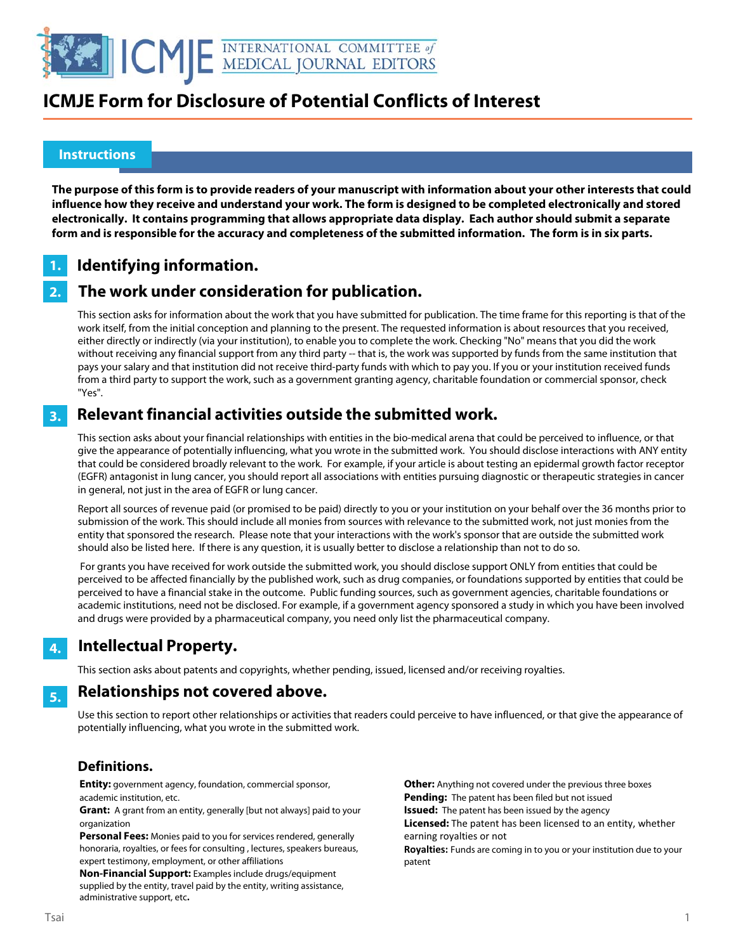

### **Instructions**

l

**The purpose of this form is to provide readers of your manuscript with information about your other interests that could influence how they receive and understand your work. The form is designed to be completed electronically and stored electronically. It contains programming that allows appropriate data display. Each author should submit a separate form and is responsible for the accuracy and completeness of the submitted information. The form is in six parts.** 

#### **Identifying information. 1.**

#### **The work under consideration for publication. 2.**

This section asks for information about the work that you have submitted for publication. The time frame for this reporting is that of the work itself, from the initial conception and planning to the present. The requested information is about resources that you received, either directly or indirectly (via your institution), to enable you to complete the work. Checking "No" means that you did the work without receiving any financial support from any third party -- that is, the work was supported by funds from the same institution that pays your salary and that institution did not receive third-party funds with which to pay you. If you or your institution received funds from a third party to support the work, such as a government granting agency, charitable foundation or commercial sponsor, check "Yes".

#### **Relevant financial activities outside the submitted work. 3.**

This section asks about your financial relationships with entities in the bio-medical arena that could be perceived to influence, or that give the appearance of potentially influencing, what you wrote in the submitted work. You should disclose interactions with ANY entity that could be considered broadly relevant to the work. For example, if your article is about testing an epidermal growth factor receptor (EGFR) antagonist in lung cancer, you should report all associations with entities pursuing diagnostic or therapeutic strategies in cancer in general, not just in the area of EGFR or lung cancer.

Report all sources of revenue paid (or promised to be paid) directly to you or your institution on your behalf over the 36 months prior to submission of the work. This should include all monies from sources with relevance to the submitted work, not just monies from the entity that sponsored the research. Please note that your interactions with the work's sponsor that are outside the submitted work should also be listed here. If there is any question, it is usually better to disclose a relationship than not to do so.

 For grants you have received for work outside the submitted work, you should disclose support ONLY from entities that could be perceived to be affected financially by the published work, such as drug companies, or foundations supported by entities that could be perceived to have a financial stake in the outcome. Public funding sources, such as government agencies, charitable foundations or academic institutions, need not be disclosed. For example, if a government agency sponsored a study in which you have been involved and drugs were provided by a pharmaceutical company, you need only list the pharmaceutical company.

#### **Intellectual Property. 4.**

This section asks about patents and copyrights, whether pending, issued, licensed and/or receiving royalties.

#### **Relationships not covered above. 5.**

Use this section to report other relationships or activities that readers could perceive to have influenced, or that give the appearance of potentially influencing, what you wrote in the submitted work.

### **Definitions.**

**Entity:** government agency, foundation, commercial sponsor, academic institution, etc.

**Grant:** A grant from an entity, generally [but not always] paid to your organization

**Personal Fees:** Monies paid to you for services rendered, generally honoraria, royalties, or fees for consulting , lectures, speakers bureaus, expert testimony, employment, or other affiliations

**Non-Financial Support:** Examples include drugs/equipment supplied by the entity, travel paid by the entity, writing assistance, administrative support, etc**.**

**Other:** Anything not covered under the previous three boxes **Pending:** The patent has been filed but not issued **Issued:** The patent has been issued by the agency **Licensed:** The patent has been licensed to an entity, whether earning royalties or not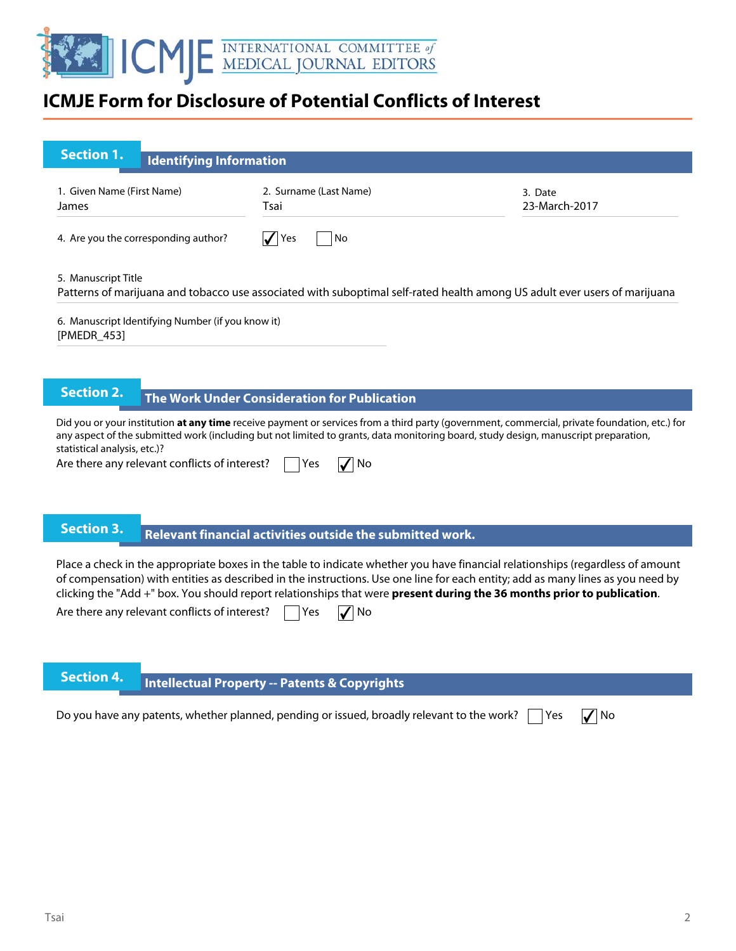

| <b>Section 1.</b>                          | <b>Identifying Information</b> |                                |                          |
|--------------------------------------------|--------------------------------|--------------------------------|--------------------------|
| 1. Given Name (First Name)<br><b>James</b> |                                | 2. Surname (Last Name)<br>Tsai | 3. Date<br>23-March-2017 |
| 4. Are you the corresponding author?       |                                | $\mathcal{J}$ Yes<br><b>No</b> |                          |
| $F$ Monuccript Title                       |                                |                                |                          |

5. Manuscript Title

Patterns of marijuana and tobacco use associated with suboptimal self-rated health among US adult ever users of marijuana

6. Manuscript Identifying Number (if you know it)

[PMEDR\_453]

**The Work Under Consideration for Publication** 

Did you or your institution **at any time** receive payment or services from a third party (government, commercial, private foundation, etc.) for any aspect of the submitted work (including but not limited to grants, data monitoring board, study design, manuscript preparation, statistical analysis, etc.)?

√ No

Are there any relevant conflicts of interest?  $\Box$  Yes

**Relevant financial activities outside the submitted work. Section 3. Relevant financial activities outsals** 

Place a check in the appropriate boxes in the table to indicate whether you have financial relationships (regardless of amount of compensation) with entities as described in the instructions. Use one line for each entity; add as many lines as you need by clicking the "Add +" box. You should report relationships that were **present during the 36 months prior to publication**.

Are there any relevant conflicts of interest?  $\Box$  Yes √ No

**Intellectual Property -- Patents & Copyrights**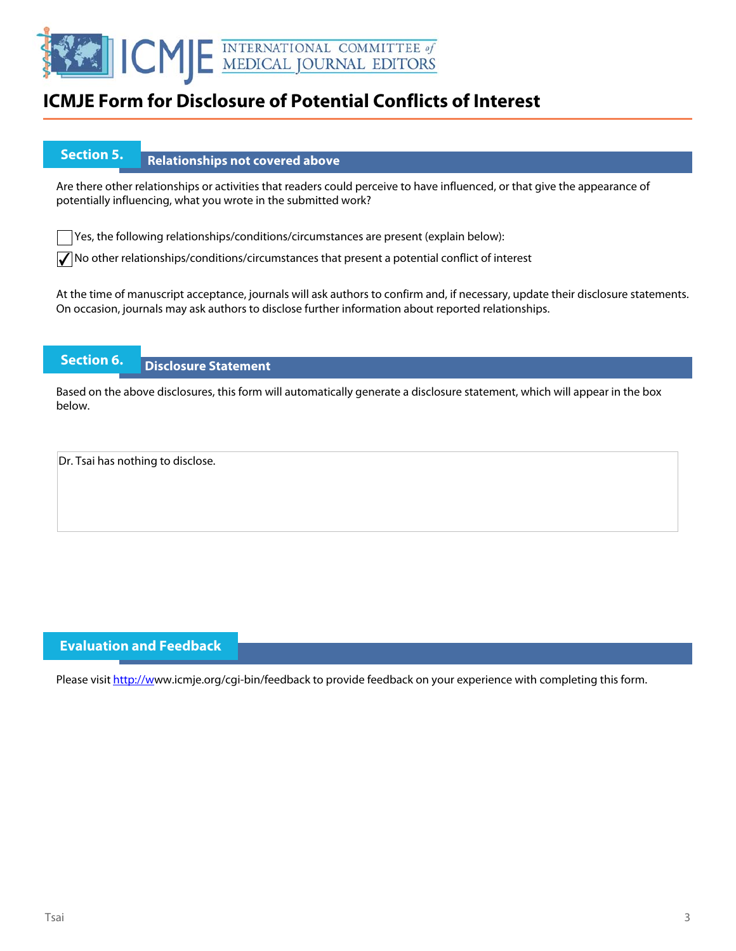

### **Section 5.** Relationships not covered above

Are there other relationships or activities that readers could perceive to have influenced, or that give the appearance of potentially influencing, what you wrote in the submitted work?

Yes, the following relationships/conditions/circumstances are present (explain below):

 $\overline{\checkmark}$  No other relationships/conditions/circumstances that present a potential conflict of interest

At the time of manuscript acceptance, journals will ask authors to confirm and, if necessary, update their disclosure statements. On occasion, journals may ask authors to disclose further information about reported relationships.

### **Section 6. Disclosure Statement**

Based on the above disclosures, this form will automatically generate a disclosure statement, which will appear in the box below.

Dr. Tsai has nothing to disclose.

### **Evaluation and Feedback**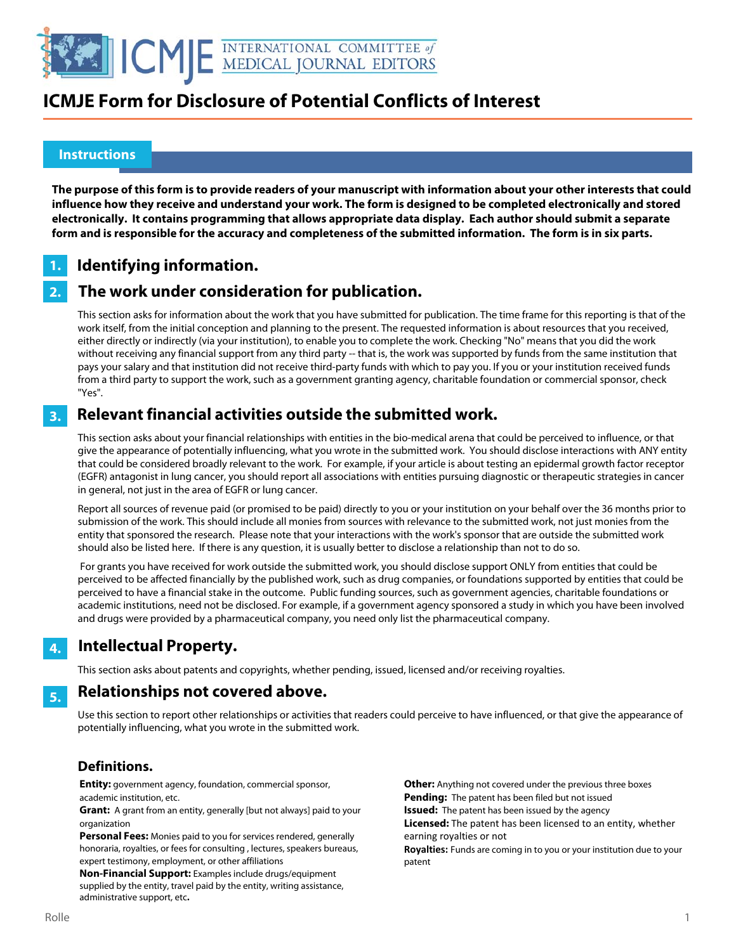

### **Instructions**

l

**The purpose of this form is to provide readers of your manuscript with information about your other interests that could influence how they receive and understand your work. The form is designed to be completed electronically and stored electronically. It contains programming that allows appropriate data display. Each author should submit a separate form and is responsible for the accuracy and completeness of the submitted information. The form is in six parts.** 

#### **Identifying information. 1.**

#### **The work under consideration for publication. 2.**

This section asks for information about the work that you have submitted for publication. The time frame for this reporting is that of the work itself, from the initial conception and planning to the present. The requested information is about resources that you received, either directly or indirectly (via your institution), to enable you to complete the work. Checking "No" means that you did the work without receiving any financial support from any third party -- that is, the work was supported by funds from the same institution that pays your salary and that institution did not receive third-party funds with which to pay you. If you or your institution received funds from a third party to support the work, such as a government granting agency, charitable foundation or commercial sponsor, check "Yes".

#### **Relevant financial activities outside the submitted work. 3.**

This section asks about your financial relationships with entities in the bio-medical arena that could be perceived to influence, or that give the appearance of potentially influencing, what you wrote in the submitted work. You should disclose interactions with ANY entity that could be considered broadly relevant to the work. For example, if your article is about testing an epidermal growth factor receptor (EGFR) antagonist in lung cancer, you should report all associations with entities pursuing diagnostic or therapeutic strategies in cancer in general, not just in the area of EGFR or lung cancer.

Report all sources of revenue paid (or promised to be paid) directly to you or your institution on your behalf over the 36 months prior to submission of the work. This should include all monies from sources with relevance to the submitted work, not just monies from the entity that sponsored the research. Please note that your interactions with the work's sponsor that are outside the submitted work should also be listed here. If there is any question, it is usually better to disclose a relationship than not to do so.

 For grants you have received for work outside the submitted work, you should disclose support ONLY from entities that could be perceived to be affected financially by the published work, such as drug companies, or foundations supported by entities that could be perceived to have a financial stake in the outcome. Public funding sources, such as government agencies, charitable foundations or academic institutions, need not be disclosed. For example, if a government agency sponsored a study in which you have been involved and drugs were provided by a pharmaceutical company, you need only list the pharmaceutical company.

#### **Intellectual Property. 4.**

This section asks about patents and copyrights, whether pending, issued, licensed and/or receiving royalties.

#### **Relationships not covered above. 5.**

Use this section to report other relationships or activities that readers could perceive to have influenced, or that give the appearance of potentially influencing, what you wrote in the submitted work.

### **Definitions.**

**Entity:** government agency, foundation, commercial sponsor, academic institution, etc.

**Grant:** A grant from an entity, generally [but not always] paid to your organization

**Personal Fees:** Monies paid to you for services rendered, generally honoraria, royalties, or fees for consulting , lectures, speakers bureaus, expert testimony, employment, or other affiliations

**Non-Financial Support:** Examples include drugs/equipment supplied by the entity, travel paid by the entity, writing assistance, administrative support, etc**.**

**Other:** Anything not covered under the previous three boxes **Pending:** The patent has been filed but not issued **Issued:** The patent has been issued by the agency **Licensed:** The patent has been licensed to an entity, whether earning royalties or not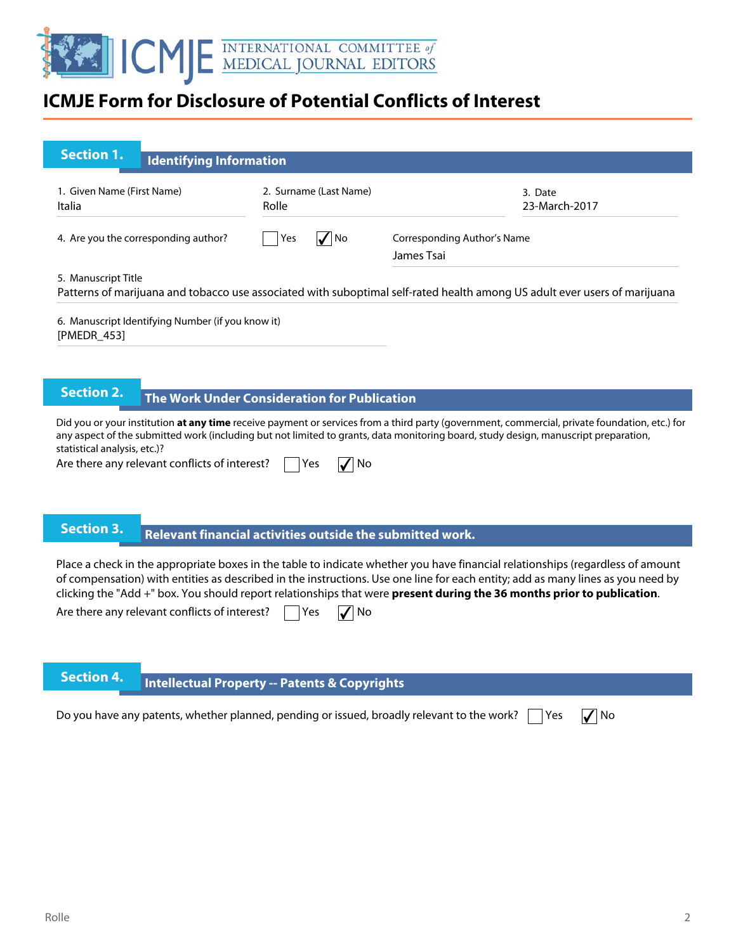

| 3. Date<br>23-March-2017                                                                                                  |  |
|---------------------------------------------------------------------------------------------------------------------------|--|
| Corresponding Author's Name<br>James Tsai                                                                                 |  |
| Patterns of marijuana and tobacco use associated with suboptimal self-rated health among US adult ever users of marijuana |  |
|                                                                                                                           |  |
|                                                                                                                           |  |

### **The Work Under Consideration for Publication**

Did you or your institution **at any time** receive payment or services from a third party (government, commercial, private foundation, etc.) for any aspect of the submitted work (including but not limited to grants, data monitoring board, study design, manuscript preparation, statistical analysis, etc.)?

Are there any relevant conflicts of interest?  $\Box$  Yes

√ No

## **Relevant financial activities outside the submitted work. Section 3. Relevant financial activities outsals**

Place a check in the appropriate boxes in the table to indicate whether you have financial relationships (regardless of amount of compensation) with entities as described in the instructions. Use one line for each entity; add as many lines as you need by clicking the "Add +" box. You should report relationships that were **present during the 36 months prior to publication**.

Are there any relevant conflicts of interest?  $\Box$  Yes √ No

## **Intellectual Property -- Patents & Copyrights**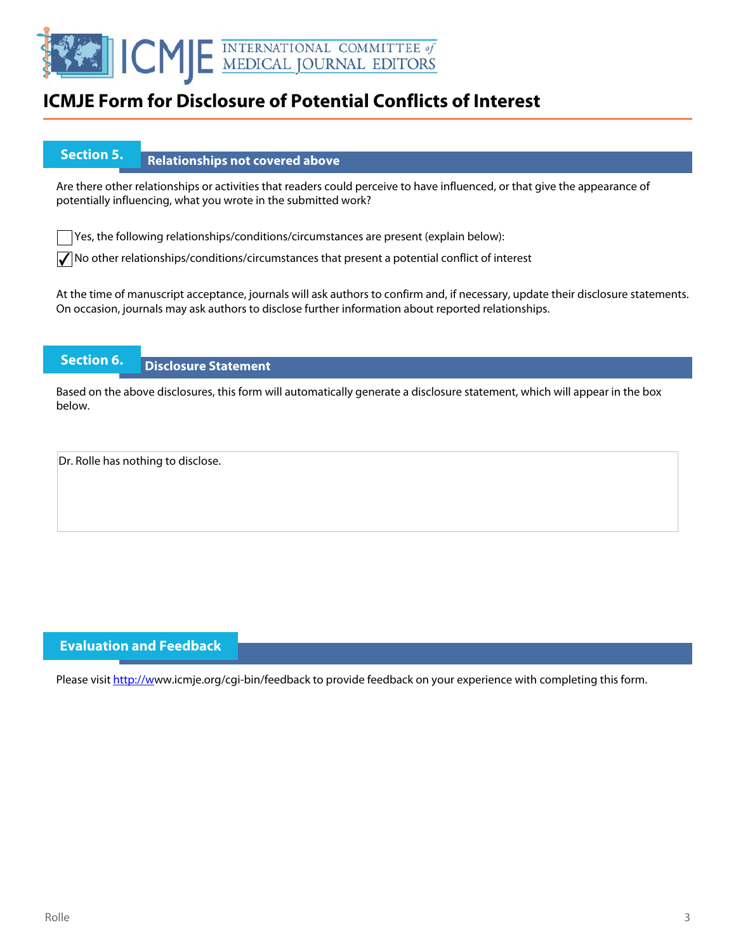

### **Section 5.** Relationships not covered above

Are there other relationships or activities that readers could perceive to have influenced, or that give the appearance of potentially influencing, what you wrote in the submitted work?

Yes, the following relationships/conditions/circumstances are present (explain below):

 $\overline{\checkmark}$  No other relationships/conditions/circumstances that present a potential conflict of interest

At the time of manuscript acceptance, journals will ask authors to confirm and, if necessary, update their disclosure statements. On occasion, journals may ask authors to disclose further information about reported relationships.

### **Section 6. Disclosure Statement**

Based on the above disclosures, this form will automatically generate a disclosure statement, which will appear in the box below.

Dr. Rolle has nothing to disclose.

### **Evaluation and Feedback**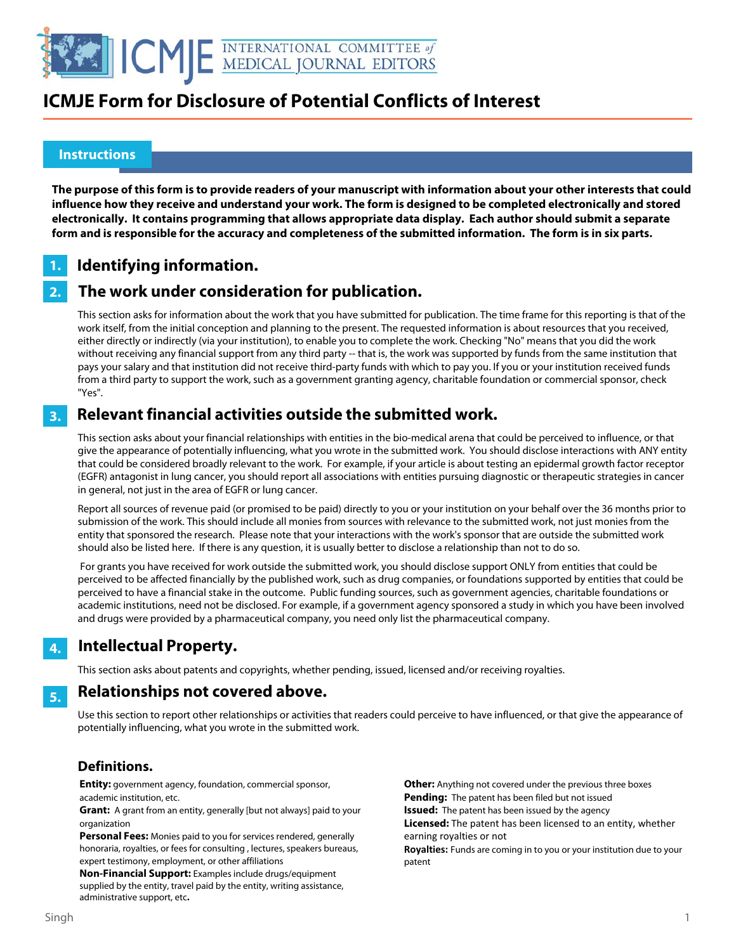

### **Instructions**

l

**The purpose of this form is to provide readers of your manuscript with information about your other interests that could influence how they receive and understand your work. The form is designed to be completed electronically and stored electronically. It contains programming that allows appropriate data display. Each author should submit a separate form and is responsible for the accuracy and completeness of the submitted information. The form is in six parts.** 

#### **Identifying information. 1.**

#### **The work under consideration for publication. 2.**

This section asks for information about the work that you have submitted for publication. The time frame for this reporting is that of the work itself, from the initial conception and planning to the present. The requested information is about resources that you received, either directly or indirectly (via your institution), to enable you to complete the work. Checking "No" means that you did the work without receiving any financial support from any third party -- that is, the work was supported by funds from the same institution that pays your salary and that institution did not receive third-party funds with which to pay you. If you or your institution received funds from a third party to support the work, such as a government granting agency, charitable foundation or commercial sponsor, check "Yes".

#### **Relevant financial activities outside the submitted work. 3.**

This section asks about your financial relationships with entities in the bio-medical arena that could be perceived to influence, or that give the appearance of potentially influencing, what you wrote in the submitted work. You should disclose interactions with ANY entity that could be considered broadly relevant to the work. For example, if your article is about testing an epidermal growth factor receptor (EGFR) antagonist in lung cancer, you should report all associations with entities pursuing diagnostic or therapeutic strategies in cancer in general, not just in the area of EGFR or lung cancer.

Report all sources of revenue paid (or promised to be paid) directly to you or your institution on your behalf over the 36 months prior to submission of the work. This should include all monies from sources with relevance to the submitted work, not just monies from the entity that sponsored the research. Please note that your interactions with the work's sponsor that are outside the submitted work should also be listed here. If there is any question, it is usually better to disclose a relationship than not to do so.

 For grants you have received for work outside the submitted work, you should disclose support ONLY from entities that could be perceived to be affected financially by the published work, such as drug companies, or foundations supported by entities that could be perceived to have a financial stake in the outcome. Public funding sources, such as government agencies, charitable foundations or academic institutions, need not be disclosed. For example, if a government agency sponsored a study in which you have been involved and drugs were provided by a pharmaceutical company, you need only list the pharmaceutical company.

#### **Intellectual Property. 4.**

This section asks about patents and copyrights, whether pending, issued, licensed and/or receiving royalties.

#### **Relationships not covered above. 5.**

Use this section to report other relationships or activities that readers could perceive to have influenced, or that give the appearance of potentially influencing, what you wrote in the submitted work.

### **Definitions.**

**Entity:** government agency, foundation, commercial sponsor, academic institution, etc.

**Grant:** A grant from an entity, generally [but not always] paid to your organization

**Personal Fees:** Monies paid to you for services rendered, generally honoraria, royalties, or fees for consulting , lectures, speakers bureaus, expert testimony, employment, or other affiliations

**Non-Financial Support:** Examples include drugs/equipment supplied by the entity, travel paid by the entity, writing assistance, administrative support, etc**.**

**Other:** Anything not covered under the previous three boxes **Pending:** The patent has been filed but not issued **Issued:** The patent has been issued by the agency **Licensed:** The patent has been licensed to an entity, whether earning royalties or not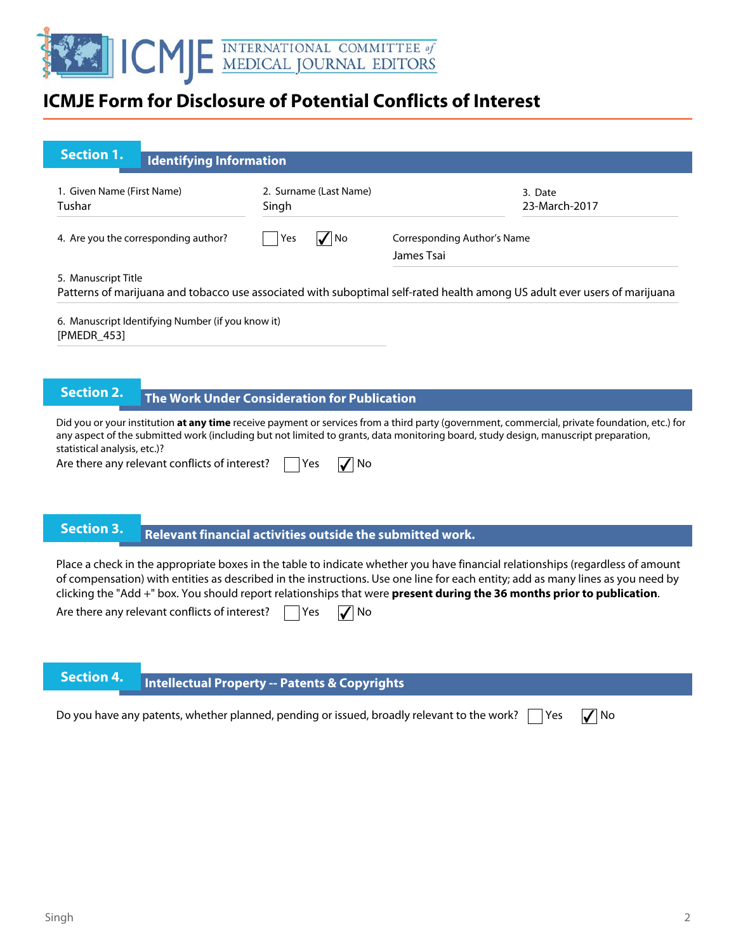

| <b>Section 1.</b>                    | <b>Identifying Information</b>                    |                                 |                                                                                                                           |  |
|--------------------------------------|---------------------------------------------------|---------------------------------|---------------------------------------------------------------------------------------------------------------------------|--|
| 1. Given Name (First Name)<br>Tushar |                                                   | 2. Surname (Last Name)<br>Singh | 3. Date<br>23-March-2017                                                                                                  |  |
| 4. Are you the corresponding author? |                                                   | $\sqrt{} $ No<br>Yes            | Corresponding Author's Name<br>James Tsai                                                                                 |  |
| 5. Manuscript Title                  |                                                   |                                 | Patterns of marijuana and tobacco use associated with suboptimal self-rated health among US adult ever users of marijuana |  |
| [PMEDR 453]                          | 6. Manuscript Identifying Number (if you know it) |                                 |                                                                                                                           |  |

### **The Work Under Consideration for Publication**

Did you or your institution **at any time** receive payment or services from a third party (government, commercial, private foundation, etc.) for any aspect of the submitted work (including but not limited to grants, data monitoring board, study design, manuscript preparation, statistical analysis, etc.)?

Are there any relevant conflicts of interest?  $\Box$  Yes

√ No

## **Relevant financial activities outside the submitted work. Section 3. Relevant financial activities outsals**

Place a check in the appropriate boxes in the table to indicate whether you have financial relationships (regardless of amount of compensation) with entities as described in the instructions. Use one line for each entity; add as many lines as you need by clicking the "Add +" box. You should report relationships that were **present during the 36 months prior to publication**.

Are there any relevant conflicts of interest?  $\Box$  Yes √ No

## **Intellectual Property -- Patents & Copyrights**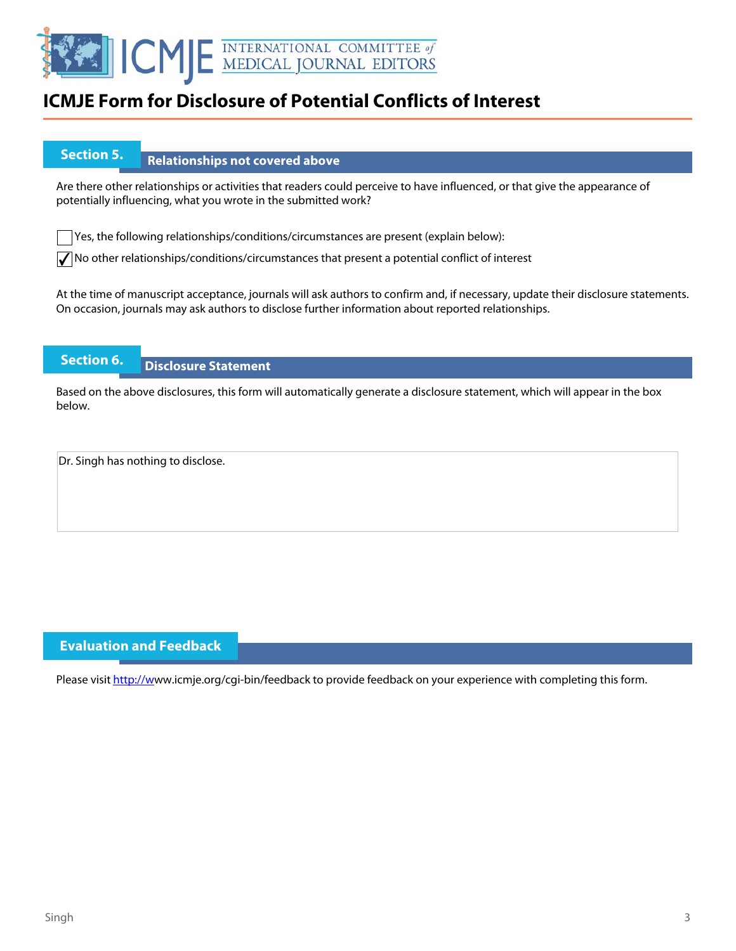

### **Section 5.** Relationships not covered above

Are there other relationships or activities that readers could perceive to have influenced, or that give the appearance of potentially influencing, what you wrote in the submitted work?

Yes, the following relationships/conditions/circumstances are present (explain below):

 $\overline{\checkmark}$  No other relationships/conditions/circumstances that present a potential conflict of interest

At the time of manuscript acceptance, journals will ask authors to confirm and, if necessary, update their disclosure statements. On occasion, journals may ask authors to disclose further information about reported relationships.

### **Section 6. Disclosure Statement**

Based on the above disclosures, this form will automatically generate a disclosure statement, which will appear in the box below.

Dr. Singh has nothing to disclose.

### **Evaluation and Feedback**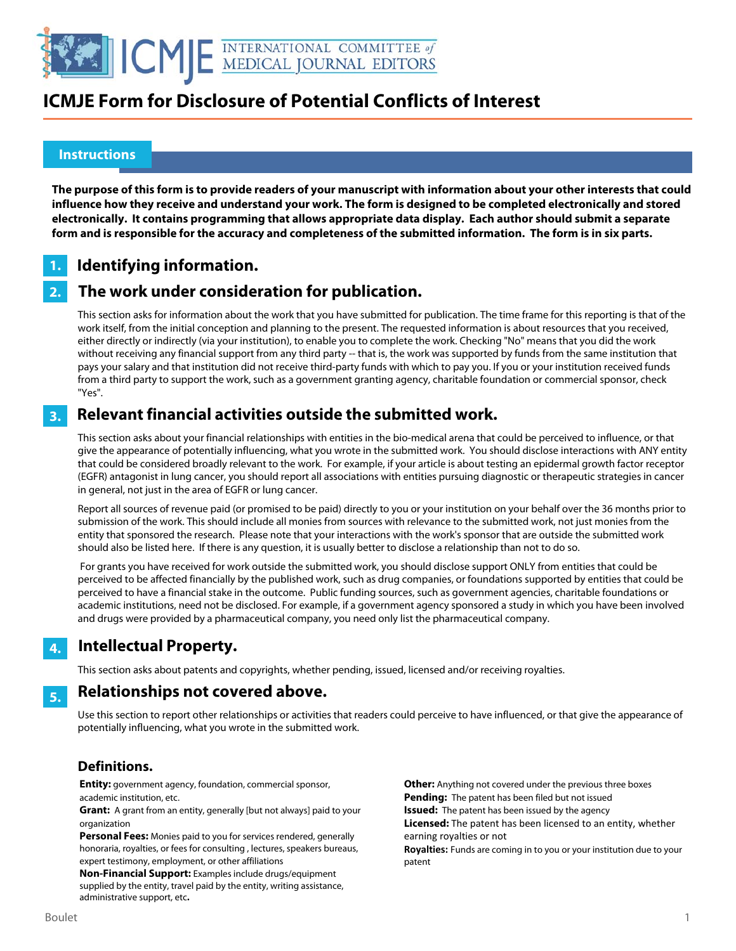

### **Instructions**

l

**The purpose of this form is to provide readers of your manuscript with information about your other interests that could influence how they receive and understand your work. The form is designed to be completed electronically and stored electronically. It contains programming that allows appropriate data display. Each author should submit a separate form and is responsible for the accuracy and completeness of the submitted information. The form is in six parts.** 

#### **Identifying information. 1.**

#### **The work under consideration for publication. 2.**

This section asks for information about the work that you have submitted for publication. The time frame for this reporting is that of the work itself, from the initial conception and planning to the present. The requested information is about resources that you received, either directly or indirectly (via your institution), to enable you to complete the work. Checking "No" means that you did the work without receiving any financial support from any third party -- that is, the work was supported by funds from the same institution that pays your salary and that institution did not receive third-party funds with which to pay you. If you or your institution received funds from a third party to support the work, such as a government granting agency, charitable foundation or commercial sponsor, check "Yes".

#### **Relevant financial activities outside the submitted work. 3.**

This section asks about your financial relationships with entities in the bio-medical arena that could be perceived to influence, or that give the appearance of potentially influencing, what you wrote in the submitted work. You should disclose interactions with ANY entity that could be considered broadly relevant to the work. For example, if your article is about testing an epidermal growth factor receptor (EGFR) antagonist in lung cancer, you should report all associations with entities pursuing diagnostic or therapeutic strategies in cancer in general, not just in the area of EGFR or lung cancer.

Report all sources of revenue paid (or promised to be paid) directly to you or your institution on your behalf over the 36 months prior to submission of the work. This should include all monies from sources with relevance to the submitted work, not just monies from the entity that sponsored the research. Please note that your interactions with the work's sponsor that are outside the submitted work should also be listed here. If there is any question, it is usually better to disclose a relationship than not to do so.

 For grants you have received for work outside the submitted work, you should disclose support ONLY from entities that could be perceived to be affected financially by the published work, such as drug companies, or foundations supported by entities that could be perceived to have a financial stake in the outcome. Public funding sources, such as government agencies, charitable foundations or academic institutions, need not be disclosed. For example, if a government agency sponsored a study in which you have been involved and drugs were provided by a pharmaceutical company, you need only list the pharmaceutical company.

#### **Intellectual Property. 4.**

This section asks about patents and copyrights, whether pending, issued, licensed and/or receiving royalties.

#### **Relationships not covered above. 5.**

Use this section to report other relationships or activities that readers could perceive to have influenced, or that give the appearance of potentially influencing, what you wrote in the submitted work.

### **Definitions.**

**Entity:** government agency, foundation, commercial sponsor, academic institution, etc.

**Grant:** A grant from an entity, generally [but not always] paid to your organization

**Personal Fees:** Monies paid to you for services rendered, generally honoraria, royalties, or fees for consulting , lectures, speakers bureaus, expert testimony, employment, or other affiliations

**Non-Financial Support:** Examples include drugs/equipment supplied by the entity, travel paid by the entity, writing assistance, administrative support, etc**.**

**Other:** Anything not covered under the previous three boxes **Pending:** The patent has been filed but not issued **Issued:** The patent has been issued by the agency **Licensed:** The patent has been licensed to an entity, whether earning royalties or not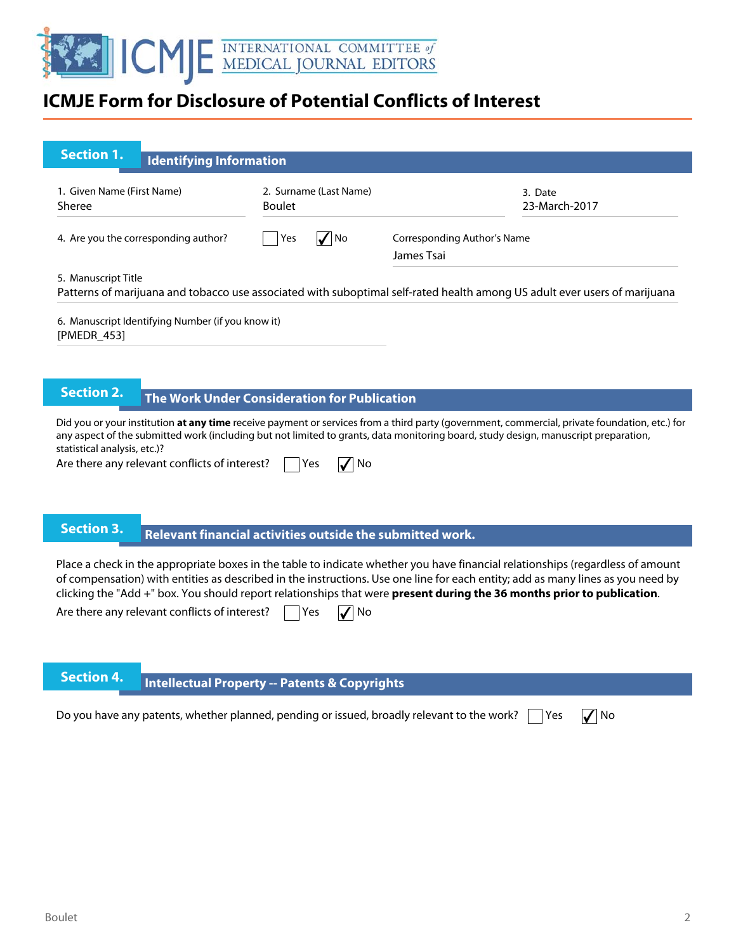

| <b>Section 1.</b>                    | <b>Identifying Information</b>                    |                                         |                                                                                                                           |  |
|--------------------------------------|---------------------------------------------------|-----------------------------------------|---------------------------------------------------------------------------------------------------------------------------|--|
| 1. Given Name (First Name)<br>Sheree |                                                   | 2. Surname (Last Name)<br><b>Boulet</b> | 3. Date<br>23-March-2017                                                                                                  |  |
| 4. Are you the corresponding author? |                                                   | $\sqrt{N}$<br>Yes                       | Corresponding Author's Name<br>James Tsai                                                                                 |  |
| 5. Manuscript Title                  |                                                   |                                         | Patterns of marijuana and tobacco use associated with suboptimal self-rated health among US adult ever users of marijuana |  |
| [PMEDR 453]                          | 6. Manuscript Identifying Number (if you know it) |                                         |                                                                                                                           |  |
|                                      |                                                   |                                         |                                                                                                                           |  |

### **The Work Under Consideration for Publication**

Did you or your institution **at any time** receive payment or services from a third party (government, commercial, private foundation, etc.) for any aspect of the submitted work (including but not limited to grants, data monitoring board, study design, manuscript preparation, statistical analysis, etc.)?

Are there any relevant conflicts of interest?  $\Box$  Yes

√ No

## **Relevant financial activities outside the submitted work. Section 3. Relevant financial activities outsals**

Place a check in the appropriate boxes in the table to indicate whether you have financial relationships (regardless of amount of compensation) with entities as described in the instructions. Use one line for each entity; add as many lines as you need by clicking the "Add +" box. You should report relationships that were **present during the 36 months prior to publication**.

Are there any relevant conflicts of interest?  $\Box$  Yes √ No

## **Intellectual Property -- Patents & Copyrights**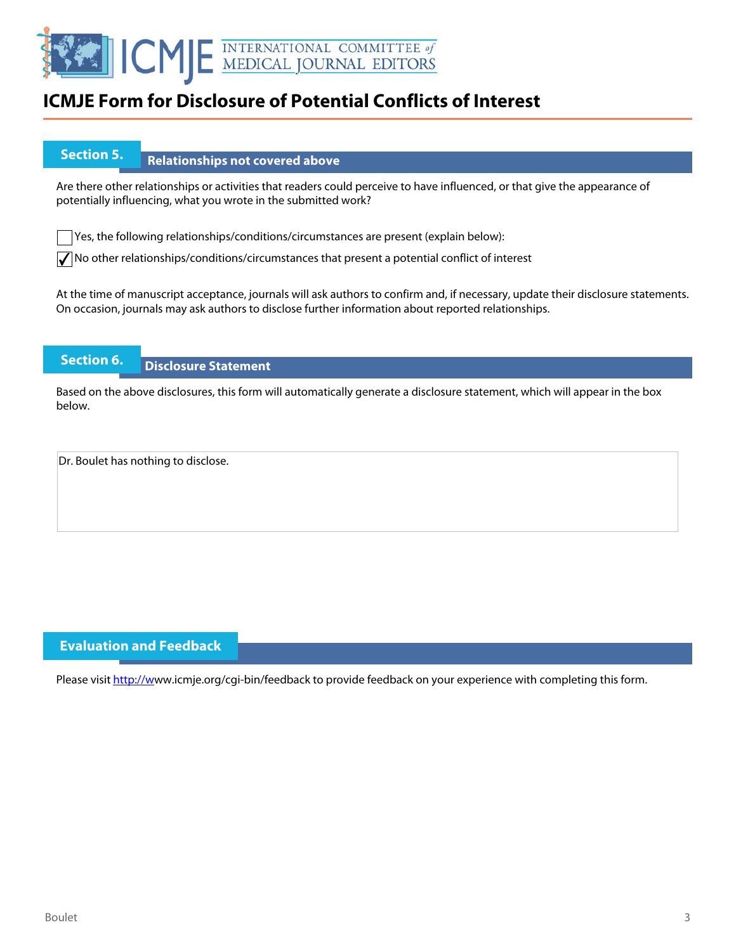

### **Section 5.** Relationships not covered above

Are there other relationships or activities that readers could perceive to have influenced, or that give the appearance of potentially influencing, what you wrote in the submitted work?

Yes, the following relationships/conditions/circumstances are present (explain below):

 $\overline{\checkmark}$  No other relationships/conditions/circumstances that present a potential conflict of interest

At the time of manuscript acceptance, journals will ask authors to confirm and, if necessary, update their disclosure statements. On occasion, journals may ask authors to disclose further information about reported relationships.

### **Section 6. Disclosure Statement**

Based on the above disclosures, this form will automatically generate a disclosure statement, which will appear in the box below.

Dr. Boulet has nothing to disclose.

### **Evaluation and Feedback**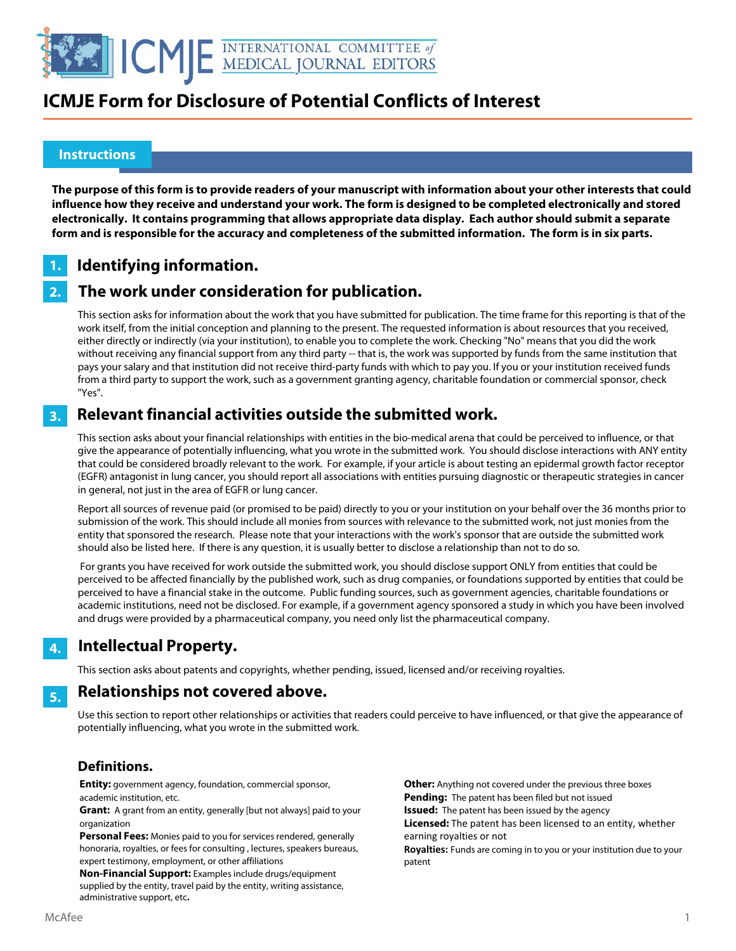

### **Instructions**

l

**The purpose of this form is to provide readers of your manuscript with information about your other interests that could influence how they receive and understand your work. The form is designed to be completed electronically and stored electronically. It contains programming that allows appropriate data display. Each author should submit a separate form and is responsible for the accuracy and completeness of the submitted information. The form is in six parts.** 

#### **Identifying information. 1.**

#### **The work under consideration for publication. 2.**

This section asks for information about the work that you have submitted for publication. The time frame for this reporting is that of the work itself, from the initial conception and planning to the present. The requested information is about resources that you received, either directly or indirectly (via your institution), to enable you to complete the work. Checking "No" means that you did the work without receiving any financial support from any third party -- that is, the work was supported by funds from the same institution that pays your salary and that institution did not receive third-party funds with which to pay you. If you or your institution received funds from a third party to support the work, such as a government granting agency, charitable foundation or commercial sponsor, check "Yes".

#### **Relevant financial activities outside the submitted work. 3.**

This section asks about your financial relationships with entities in the bio-medical arena that could be perceived to influence, or that give the appearance of potentially influencing, what you wrote in the submitted work. You should disclose interactions with ANY entity that could be considered broadly relevant to the work. For example, if your article is about testing an epidermal growth factor receptor (EGFR) antagonist in lung cancer, you should report all associations with entities pursuing diagnostic or therapeutic strategies in cancer in general, not just in the area of EGFR or lung cancer.

Report all sources of revenue paid (or promised to be paid) directly to you or your institution on your behalf over the 36 months prior to submission of the work. This should include all monies from sources with relevance to the submitted work, not just monies from the entity that sponsored the research. Please note that your interactions with the work's sponsor that are outside the submitted work should also be listed here. If there is any question, it is usually better to disclose a relationship than not to do so.

 For grants you have received for work outside the submitted work, you should disclose support ONLY from entities that could be perceived to be affected financially by the published work, such as drug companies, or foundations supported by entities that could be perceived to have a financial stake in the outcome. Public funding sources, such as government agencies, charitable foundations or academic institutions, need not be disclosed. For example, if a government agency sponsored a study in which you have been involved and drugs were provided by a pharmaceutical company, you need only list the pharmaceutical company.

#### **Intellectual Property. 4.**

This section asks about patents and copyrights, whether pending, issued, licensed and/or receiving royalties.

#### **Relationships not covered above. 5.**

Use this section to report other relationships or activities that readers could perceive to have influenced, or that give the appearance of potentially influencing, what you wrote in the submitted work.

### **Definitions.**

**Entity:** government agency, foundation, commercial sponsor, academic institution, etc.

**Grant:** A grant from an entity, generally [but not always] paid to your organization

**Personal Fees:** Monies paid to you for services rendered, generally honoraria, royalties, or fees for consulting , lectures, speakers bureaus, expert testimony, employment, or other affiliations

**Non-Financial Support:** Examples include drugs/equipment supplied by the entity, travel paid by the entity, writing assistance, administrative support, etc**.**

**Other:** Anything not covered under the previous three boxes **Pending:** The patent has been filed but not issued **Issued:** The patent has been issued by the agency **Licensed:** The patent has been licensed to an entity, whether earning royalties or not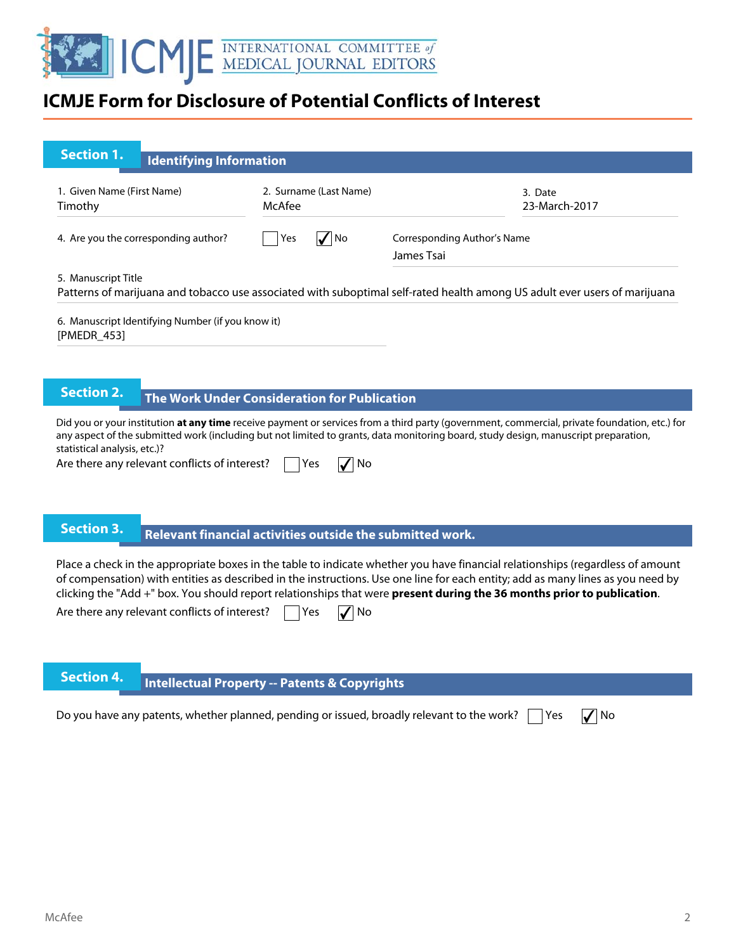

| 2. Surname (Last Name)      |                                                                                                                           |  |
|-----------------------------|---------------------------------------------------------------------------------------------------------------------------|--|
| McAfee                      | 3. Date<br>23-March-2017                                                                                                  |  |
| $\sqrt{} $ No<br>James Tsai | Corresponding Author's Name                                                                                               |  |
|                             | Patterns of marijuana and tobacco use associated with suboptimal self-rated health among US adult ever users of marijuana |  |
|                             |                                                                                                                           |  |
|                             | Yes<br>6. Manuscript Identifying Number (if you know it)                                                                  |  |

**The Work Under Consideration for Publication Section 2.**

Did you or your institution **at any time** receive payment or services from a third party (government, commercial, private foundation, etc.) for any aspect of the submitted work (including but not limited to grants, data monitoring board, study design, manuscript preparation, statistical analysis, etc.)?

√ No

Are there any relevant conflicts of interest?  $\Box$  Yes

**Relevant financial activities outside the submitted work. Section 3. Relevant financial activities outsals** 

Place a check in the appropriate boxes in the table to indicate whether you have financial relationships (regardless of amount of compensation) with entities as described in the instructions. Use one line for each entity; add as many lines as you need by clicking the "Add +" box. You should report relationships that were **present during the 36 months prior to publication**.

Are there any relevant conflicts of interest?  $\Box$  Yes √ No

**Intellectual Property -- Patents & Copyrights**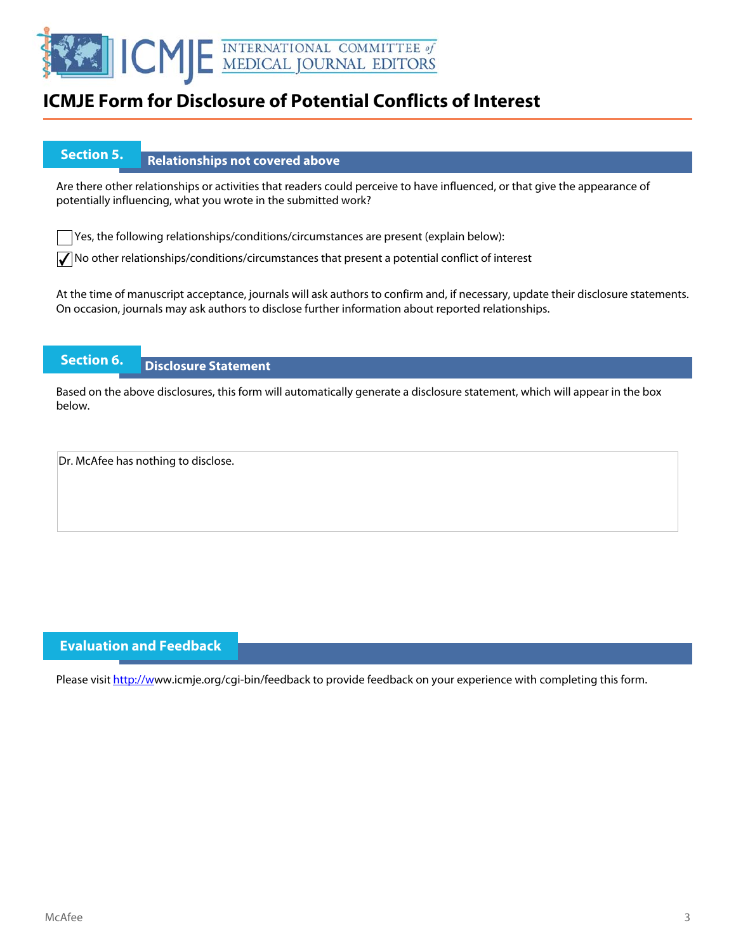

### **Section 5.** Relationships not covered above

Are there other relationships or activities that readers could perceive to have influenced, or that give the appearance of potentially influencing, what you wrote in the submitted work?

Yes, the following relationships/conditions/circumstances are present (explain below):

 $\overline{\checkmark}$  No other relationships/conditions/circumstances that present a potential conflict of interest

At the time of manuscript acceptance, journals will ask authors to confirm and, if necessary, update their disclosure statements. On occasion, journals may ask authors to disclose further information about reported relationships.

### **Section 6. Disclosure Statement**

Based on the above disclosures, this form will automatically generate a disclosure statement, which will appear in the box below.

Dr. McAfee has nothing to disclose.

### **Evaluation and Feedback**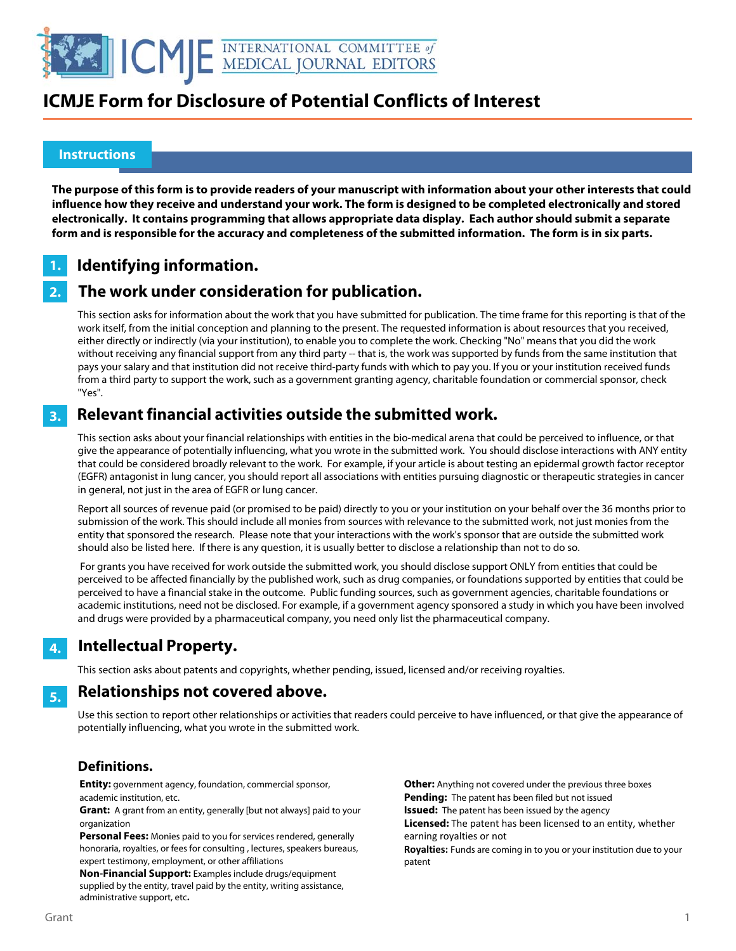

### **Instructions**

l

**The purpose of this form is to provide readers of your manuscript with information about your other interests that could influence how they receive and understand your work. The form is designed to be completed electronically and stored electronically. It contains programming that allows appropriate data display. Each author should submit a separate form and is responsible for the accuracy and completeness of the submitted information. The form is in six parts.** 

#### **Identifying information. 1.**

#### **The work under consideration for publication. 2.**

This section asks for information about the work that you have submitted for publication. The time frame for this reporting is that of the work itself, from the initial conception and planning to the present. The requested information is about resources that you received, either directly or indirectly (via your institution), to enable you to complete the work. Checking "No" means that you did the work without receiving any financial support from any third party -- that is, the work was supported by funds from the same institution that pays your salary and that institution did not receive third-party funds with which to pay you. If you or your institution received funds from a third party to support the work, such as a government granting agency, charitable foundation or commercial sponsor, check "Yes".

#### **Relevant financial activities outside the submitted work. 3.**

This section asks about your financial relationships with entities in the bio-medical arena that could be perceived to influence, or that give the appearance of potentially influencing, what you wrote in the submitted work. You should disclose interactions with ANY entity that could be considered broadly relevant to the work. For example, if your article is about testing an epidermal growth factor receptor (EGFR) antagonist in lung cancer, you should report all associations with entities pursuing diagnostic or therapeutic strategies in cancer in general, not just in the area of EGFR or lung cancer.

Report all sources of revenue paid (or promised to be paid) directly to you or your institution on your behalf over the 36 months prior to submission of the work. This should include all monies from sources with relevance to the submitted work, not just monies from the entity that sponsored the research. Please note that your interactions with the work's sponsor that are outside the submitted work should also be listed here. If there is any question, it is usually better to disclose a relationship than not to do so.

 For grants you have received for work outside the submitted work, you should disclose support ONLY from entities that could be perceived to be affected financially by the published work, such as drug companies, or foundations supported by entities that could be perceived to have a financial stake in the outcome. Public funding sources, such as government agencies, charitable foundations or academic institutions, need not be disclosed. For example, if a government agency sponsored a study in which you have been involved and drugs were provided by a pharmaceutical company, you need only list the pharmaceutical company.

#### **Intellectual Property. 4.**

This section asks about patents and copyrights, whether pending, issued, licensed and/or receiving royalties.

#### **Relationships not covered above. 5.**

Use this section to report other relationships or activities that readers could perceive to have influenced, or that give the appearance of potentially influencing, what you wrote in the submitted work.

### **Definitions.**

**Entity:** government agency, foundation, commercial sponsor, academic institution, etc.

**Grant:** A grant from an entity, generally [but not always] paid to your organization

**Personal Fees:** Monies paid to you for services rendered, generally honoraria, royalties, or fees for consulting , lectures, speakers bureaus, expert testimony, employment, or other affiliations

**Non-Financial Support:** Examples include drugs/equipment supplied by the entity, travel paid by the entity, writing assistance, administrative support, etc**.**

**Other:** Anything not covered under the previous three boxes **Pending:** The patent has been filed but not issued **Issued:** The patent has been issued by the agency **Licensed:** The patent has been licensed to an entity, whether earning royalties or not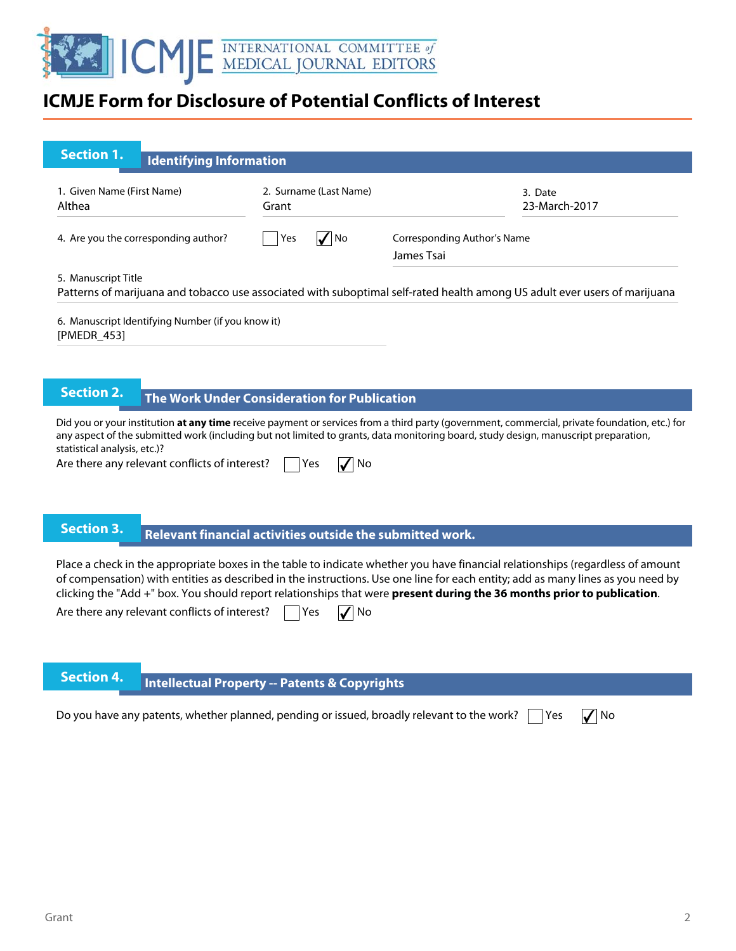

| 3. Date<br>23-March-2017                                                                                                  |  |
|---------------------------------------------------------------------------------------------------------------------------|--|
| Corresponding Author's Name<br>James Tsai                                                                                 |  |
| Patterns of marijuana and tobacco use associated with suboptimal self-rated health among US adult ever users of marijuana |  |
|                                                                                                                           |  |
|                                                                                                                           |  |

### **The Work Under Consideration for Publication**

Did you or your institution **at any time** receive payment or services from a third party (government, commercial, private foundation, etc.) for any aspect of the submitted work (including but not limited to grants, data monitoring board, study design, manuscript preparation, statistical analysis, etc.)?

Are there any relevant conflicts of interest?  $\Box$  Yes

√ No

### **Relevant financial activities outside the submitted work. Section 3. Relevant financial activities outsals**

Place a check in the appropriate boxes in the table to indicate whether you have financial relationships (regardless of amount of compensation) with entities as described in the instructions. Use one line for each entity; add as many lines as you need by clicking the "Add +" box. You should report relationships that were **present during the 36 months prior to publication**.

Are there any relevant conflicts of interest?  $\Box$  Yes √ No

# **Intellectual Property -- Patents & Copyrights**